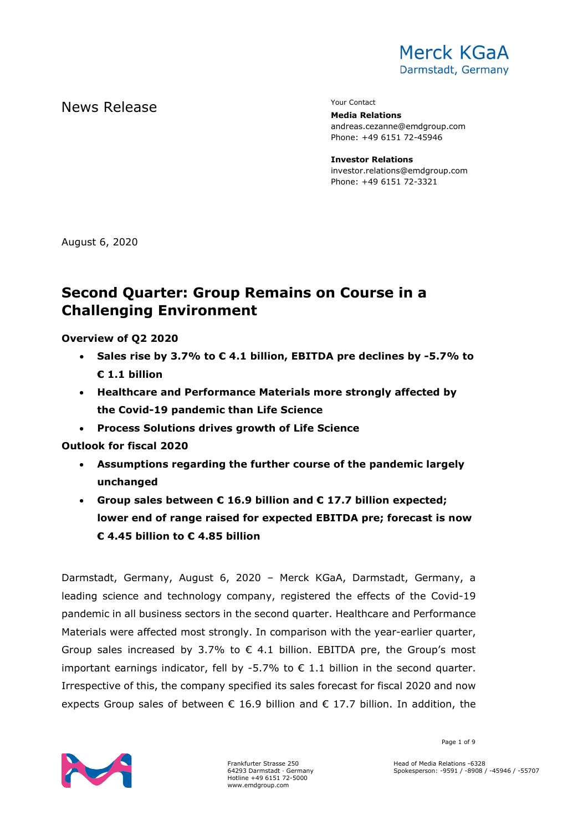

# News Release The Contact Terms of the Mean of the Vour Contact

**Media Relations** andreas.cezanne@emdgroup.com Phone: +49 6151 72-45946

**Investor Relations** investor.relations@emdgroup.com Phone: +49 6151 72-3321

August 6, 2020

# **Second Quarter: Group Remains on Course in a Challenging Environment**

## **Overview of Q2 2020**

- **Sales rise by 3.7% to € 4.1 billion, EBITDA pre declines by -5.7% to € 1.1 billion**
- **Healthcare and Performance Materials more strongly affected by the Covid-19 pandemic than Life Science**
- **Process Solutions drives growth of Life Science**

## **Outlook for fiscal 2020**

- **Assumptions regarding the further course of the pandemic largely unchanged**
- **Group sales between € 16.9 billion and € 17.7 billion expected; lower end of range raised for expected EBITDA pre; forecast is now € 4.45 billion to € 4.85 billion**

Darmstadt, Germany, August 6, 2020 – Merck KGaA, Darmstadt, Germany, a leading science and technology company, registered the effects of the Covid-19 pandemic in all business sectors in the second quarter. Healthcare and Performance Materials were affected most strongly. In comparison with the year-earlier quarter, Group sales increased by 3.7% to  $\epsilon$  4.1 billion. EBITDA pre, the Group's most important earnings indicator, fell by -5.7% to  $\epsilon$  1.1 billion in the second quarter. Irrespective of this, the company specified its sales forecast for fiscal 2020 and now expects Group sales of between  $\epsilon$  16.9 billion and  $\epsilon$  17.7 billion. In addition, the



Frankfurter Strasse 250 64293 Darmstadt · Germany Hotline +49 6151 72-5000 www.emdgroup.com

Page 1 of 9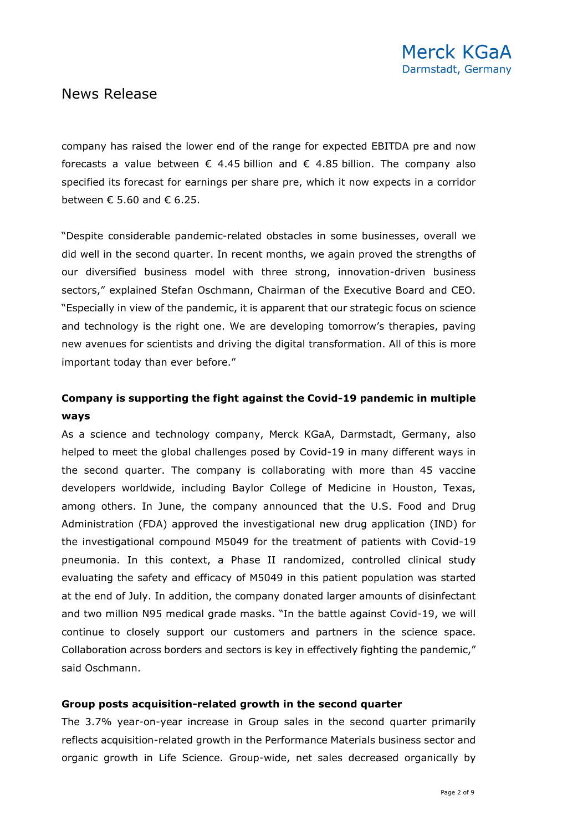company has raised the lower end of the range for expected EBITDA pre and now forecasts a value between  $\epsilon$  4.45 billion and  $\epsilon$  4.85 billion. The company also specified its forecast for earnings per share pre, which it now expects in a corridor between  $\epsilon$  5.60 and  $\epsilon$  6.25.

"Despite considerable pandemic-related obstacles in some businesses, overall we did well in the second quarter. In recent months, we again proved the strengths of our diversified business model with three strong, innovation-driven business sectors," explained Stefan Oschmann, Chairman of the Executive Board and CEO. "Especially in view of the pandemic, it is apparent that our strategic focus on science and technology is the right one. We are developing tomorrow's therapies, paving new avenues for scientists and driving the digital transformation. All of this is more important today than ever before."

## **Company is supporting the fight against the Covid-19 pandemic in multiple ways**

As a science and technology company, Merck KGaA, Darmstadt, Germany, also helped to meet the global challenges posed by Covid-19 in many different ways in the second quarter. The company is collaborating with more than 45 vaccine developers worldwide, including Baylor College of Medicine in Houston, Texas, among others. In June, the company announced that the U.S. Food and Drug Administration (FDA) approved the investigational new drug application (IND) for the investigational compound M5049 for the treatment of patients with Covid-19 pneumonia. In this context, a Phase II randomized, controlled clinical study evaluating the safety and efficacy of M5049 in this patient population was started at the end of July. In addition, the company donated larger amounts of disinfectant and two million N95 medical grade masks. "In the battle against Covid-19, we will continue to closely support our customers and partners in the science space. Collaboration across borders and sectors is key in effectively fighting the pandemic," said Oschmann.

### **Group posts acquisition-related growth in the second quarter**

The 3.7% year-on-year increase in Group sales in the second quarter primarily reflects acquisition-related growth in the Performance Materials business sector and organic growth in Life Science. Group-wide, net sales decreased organically by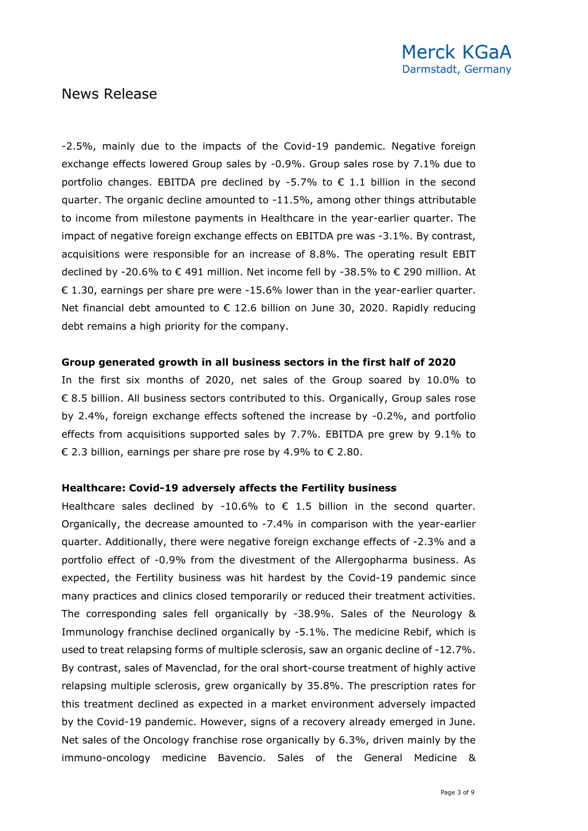-2.5%, mainly due to the impacts of the Covid-19 pandemic. Negative foreign exchange effects lowered Group sales by -0.9%. Group sales rose by 7.1% due to portfolio changes. EBITDA pre declined by -5.7% to  $\epsilon$  1.1 billion in the second quarter. The organic decline amounted to -11.5%, among other things attributable to income from milestone payments in Healthcare in the year-earlier quarter. The impact of negative foreign exchange effects on EBITDA pre was -3.1%. By contrast, acquisitions were responsible for an increase of 8.8%. The operating result EBIT declined by -20.6% to € 491 million. Net income fell by -38.5% to € 290 million. At € 1.30, earnings per share pre were  $-15.6%$  lower than in the year-earlier quarter. Net financial debt amounted to € 12.6 billion on June 30, 2020. Rapidly reducing debt remains a high priority for the company.

## **Group generated growth in all business sectors in the first half of 2020**

In the first six months of 2020, net sales of the Group soared by 10.0% to € 8.5 billion. All business sectors contributed to this. Organically, Group sales rose by 2.4%, foreign exchange effects softened the increase by -0.2%, and portfolio effects from acquisitions supported sales by 7.7%. EBITDA pre grew by 9.1% to € 2.3 billion, earnings per share pre rose by 4.9% to € 2.80.

### **Healthcare: Covid-19 adversely affects the Fertility business**

Healthcare sales declined by -10.6% to  $\epsilon$  1.5 billion in the second quarter. Organically, the decrease amounted to -7.4% in comparison with the year-earlier quarter. Additionally, there were negative foreign exchange effects of -2.3% and a portfolio effect of -0.9% from the divestment of the Allergopharma business. As expected, the Fertility business was hit hardest by the Covid-19 pandemic since many practices and clinics closed temporarily or reduced their treatment activities. The corresponding sales fell organically by -38.9%. Sales of the Neurology & Immunology franchise declined organically by -5.1%. The medicine Rebif, which is used to treat relapsing forms of multiple sclerosis, saw an organic decline of -12.7%. By contrast, sales of Mavenclad, for the oral short-course treatment of highly active relapsing multiple sclerosis, grew organically by 35.8%. The prescription rates for this treatment declined as expected in a market environment adversely impacted by the Covid-19 pandemic. However, signs of a recovery already emerged in June. Net sales of the Oncology franchise rose organically by 6.3%, driven mainly by the immuno-oncology medicine Bavencio. Sales of the General Medicine &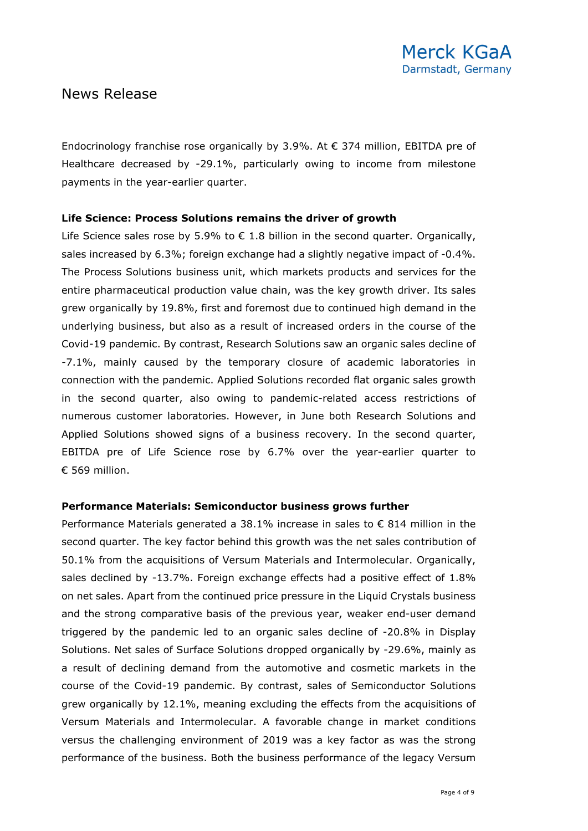Endocrinology franchise rose organically by 3.9%. At  $\epsilon$  374 million, EBITDA pre of Healthcare decreased by -29.1%, particularly owing to income from milestone payments in the year-earlier quarter.

## **Life Science: Process Solutions remains the driver of growth**

Life Science sales rose by 5.9% to  $\epsilon$  1.8 billion in the second quarter. Organically, sales increased by 6.3%; foreign exchange had a slightly negative impact of -0.4%. The Process Solutions business unit, which markets products and services for the entire pharmaceutical production value chain, was the key growth driver. Its sales grew organically by 19.8%, first and foremost due to continued high demand in the underlying business, but also as a result of increased orders in the course of the Covid-19 pandemic. By contrast, Research Solutions saw an organic sales decline of -7.1%, mainly caused by the temporary closure of academic laboratories in connection with the pandemic. Applied Solutions recorded flat organic sales growth in the second quarter, also owing to pandemic-related access restrictions of numerous customer laboratories. However, in June both Research Solutions and Applied Solutions showed signs of a business recovery. In the second quarter, EBITDA pre of Life Science rose by 6.7% over the year-earlier quarter to € 569 million.

### **Performance Materials: Semiconductor business grows further**

Performance Materials generated a 38.1% increase in sales to € 814 million in the second quarter. The key factor behind this growth was the net sales contribution of 50.1% from the acquisitions of Versum Materials and Intermolecular. Organically, sales declined by -13.7%. Foreign exchange effects had a positive effect of 1.8% on net sales. Apart from the continued price pressure in the Liquid Crystals business and the strong comparative basis of the previous year, weaker end-user demand triggered by the pandemic led to an organic sales decline of -20.8% in Display Solutions. Net sales of Surface Solutions dropped organically by -29.6%, mainly as a result of declining demand from the automotive and cosmetic markets in the course of the Covid-19 pandemic. By contrast, sales of Semiconductor Solutions grew organically by 12.1%, meaning excluding the effects from the acquisitions of Versum Materials and Intermolecular. A favorable change in market conditions versus the challenging environment of 2019 was a key factor as was the strong performance of the business. Both the business performance of the legacy Versum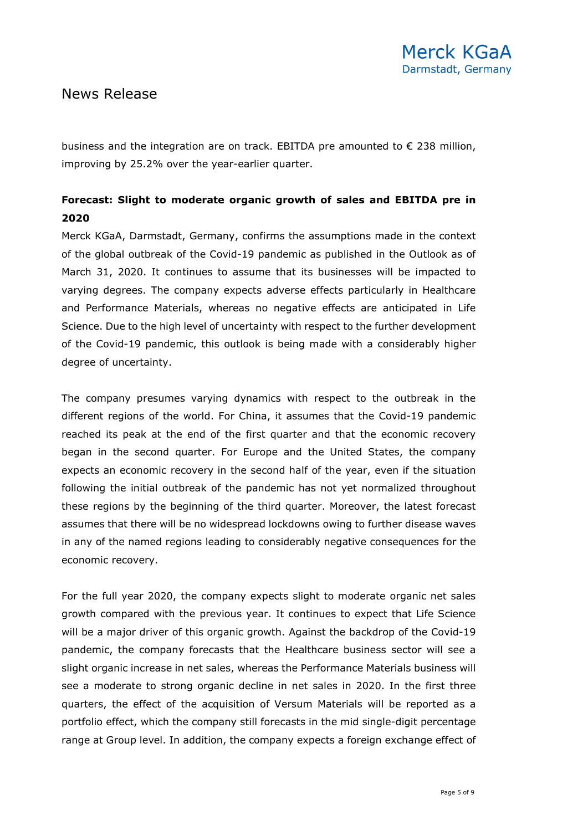business and the integration are on track. EBITDA pre amounted to € 238 million, improving by 25.2% over the year-earlier quarter.

## **Forecast: Slight to moderate organic growth of sales and EBITDA pre in 2020**

Merck KGaA, Darmstadt, Germany, confirms the assumptions made in the context of the global outbreak of the Covid-19 pandemic as published in the Outlook as of March 31, 2020. It continues to assume that its businesses will be impacted to varying degrees. The company expects adverse effects particularly in Healthcare and Performance Materials, whereas no negative effects are anticipated in Life Science. Due to the high level of uncertainty with respect to the further development of the Covid-19 pandemic, this outlook is being made with a considerably higher degree of uncertainty.

The company presumes varying dynamics with respect to the outbreak in the different regions of the world. For China, it assumes that the Covid-19 pandemic reached its peak at the end of the first quarter and that the economic recovery began in the second quarter. For Europe and the United States, the company expects an economic recovery in the second half of the year, even if the situation following the initial outbreak of the pandemic has not yet normalized throughout these regions by the beginning of the third quarter. Moreover, the latest forecast assumes that there will be no widespread lockdowns owing to further disease waves in any of the named regions leading to considerably negative consequences for the economic recovery.

For the full year 2020, the company expects slight to moderate organic net sales growth compared with the previous year. It continues to expect that Life Science will be a major driver of this organic growth. Against the backdrop of the Covid-19 pandemic, the company forecasts that the Healthcare business sector will see a slight organic increase in net sales, whereas the Performance Materials business will see a moderate to strong organic decline in net sales in 2020. In the first three quarters, the effect of the acquisition of Versum Materials will be reported as a portfolio effect, which the company still forecasts in the mid single-digit percentage range at Group level. In addition, the company expects a foreign exchange effect of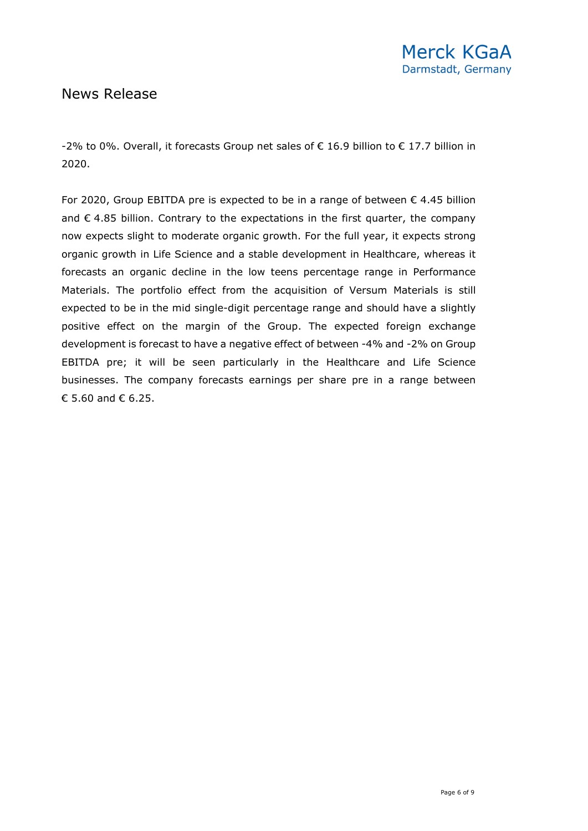-2% to 0%. Overall, it forecasts Group net sales of € 16.9 billion to € 17.7 billion in 2020.

For 2020, Group EBITDA pre is expected to be in a range of between  $\epsilon$  4.45 billion and  $\epsilon$  4.85 billion. Contrary to the expectations in the first quarter, the company now expects slight to moderate organic growth. For the full year, it expects strong organic growth in Life Science and a stable development in Healthcare, whereas it forecasts an organic decline in the low teens percentage range in Performance Materials. The portfolio effect from the acquisition of Versum Materials is still expected to be in the mid single-digit percentage range and should have a slightly positive effect on the margin of the Group. The expected foreign exchange development is forecast to have a negative effect of between -4% and -2% on Group EBITDA pre; it will be seen particularly in the Healthcare and Life Science businesses. The company forecasts earnings per share pre in a range between € 5.60 and  $∈$  6.25.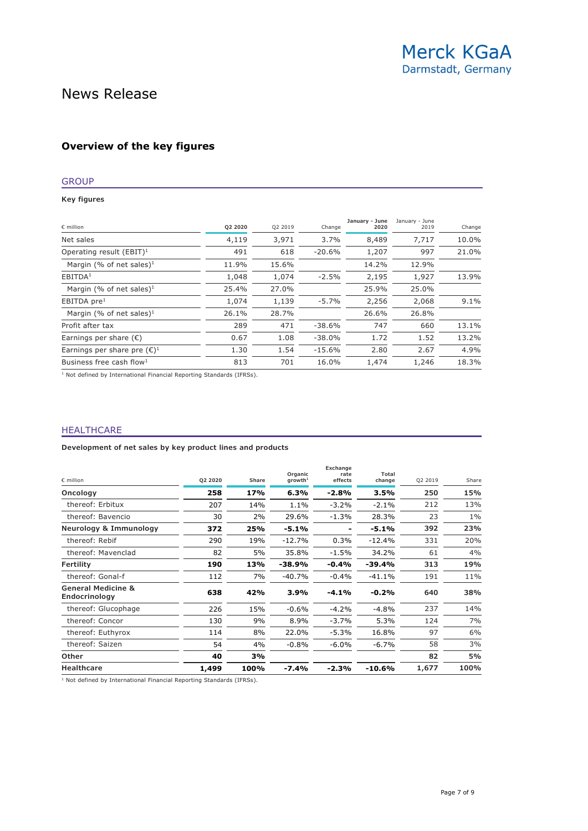### **Overview of the key figures**

### GROUP

**Key figures**

| 10.0% |
|-------|
|       |
| 21.0% |
|       |
| 13.9% |
|       |
| 9.1%  |
|       |
| 13.1% |
| 13.2% |
| 4.9%  |
| 18.3% |
|       |

1 Not defined by International Financial Reporting Standards (IFRSs).

#### HEALTHCARE

**Development of net sales by key product lines and products**

| $\epsilon$ million                             | Q2 2020 | Share | Organic<br>arowth <sup>1</sup> | Exchange<br>rate<br>effects | Total<br>change | Q2 2019 | Share |
|------------------------------------------------|---------|-------|--------------------------------|-----------------------------|-----------------|---------|-------|
| Oncology                                       | 258     | 17%   | 6.3%                           | $-2.8%$                     | 3.5%            | 250     | 15%   |
| thereof: Erbitux                               | 207     | 14%   | 1.1%                           | $-3.2%$                     | $-2.1%$         | 212     | 13%   |
| thereof: Bavencio                              | 30      | 2%    | 29.6%                          | $-1.3%$                     | 28.3%           | 23      | $1\%$ |
| Neurology & Immunology                         | 372     | 25%   | $-5.1%$                        |                             | $-5.1%$         | 392     | 23%   |
| thereof: Rebif                                 | 290     | 19%   | $-12.7%$                       | 0.3%                        | $-12.4%$        | 331     | 20%   |
| thereof: Mavenclad                             | 82      | 5%    | 35.8%                          | $-1.5%$                     | 34.2%           | 61      | 4%    |
| Fertility                                      | 190     | 13%   | -38.9%                         | $-0.4%$                     | $-39.4%$        | 313     | 19%   |
| thereof: Gonal-f                               | 112     | 7%    | $-40.7%$                       | $-0.4%$                     | $-41.1%$        | 191     | 11%   |
| <b>General Medicine &amp;</b><br>Endocrinology | 638     | 42%   | 3.9%                           | $-4.1%$                     | $-0.2%$         | 640     | 38%   |
| thereof: Glucophage                            | 226     | 15%   | $-0.6%$                        | $-4.2%$                     | $-4.8%$         | 237     | 14%   |
| thereof: Concor                                | 130     | 9%    | 8.9%                           | $-3.7%$                     | 5.3%            | 124     | 7%    |
| thereof: Euthyrox                              | 114     | 8%    | 22.0%                          | $-5.3%$                     | 16.8%           | 97      | 6%    |
| thereof: Saizen                                | 54      | 4%    | $-0.8%$                        | $-6.0%$                     | $-6.7\%$        | 58      | 3%    |
| Other                                          | 40      | 3%    |                                |                             |                 | 82      | 5%    |
| <b>Healthcare</b>                              | 1,499   | 100%  | $-7.4%$                        | $-2.3%$                     | $-10.6%$        | 1,677   | 100%  |

1 Not defined by International Financial Reporting Standards (IFRSs).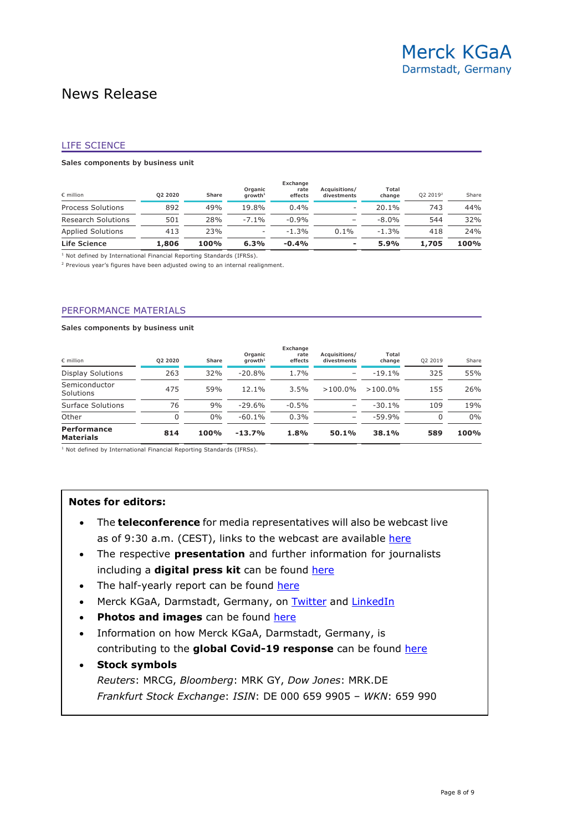#### LIFE SCIENCE

#### **Sales components by business unit**

| Life Science              | 1,806   | 100%  | 6.3%                           | $-0.4%$                     |                              | 5.9%            | 1,705                | 100%  |
|---------------------------|---------|-------|--------------------------------|-----------------------------|------------------------------|-----------------|----------------------|-------|
| Applied Solutions         | 413     | 23%   | -                              | $-1.3%$                     | $0.1\%$                      | $-1.3%$         | 418                  | 24%   |
| <b>Research Solutions</b> | 501     | 28%   | $-7.1\%$                       | $-0.9%$                     |                              | $-8.0\%$        | 544                  | 32%   |
| <b>Process Solutions</b>  | 892     | 49%   | 19.8%                          | 0.4%                        |                              | 20.1%           | 743                  | 44%   |
| $\epsilon$ million        | 02 2020 | Share | Organic<br>arowth <sup>1</sup> | Exchange<br>rate<br>effects | Acquisitions/<br>divestments | Total<br>change | 02 2019 <sup>2</sup> | Share |

<sup>1</sup> Not defined by International Financial Reporting Standards (IFRSs).

<sup>2</sup> Previous year's figures have been adjusted owing to an internal realignment.

#### PERFORMANCE MATERIALS

#### **Sales components by business unit**

| $\epsilon$ million                     | 02 2020 | <b>Share</b> | Organic<br>arowth <sup>1</sup> | Exchange<br>rate<br>effects | Acquisitions/<br>divestments | Total<br>change | 02 2019  | Share |
|----------------------------------------|---------|--------------|--------------------------------|-----------------------------|------------------------------|-----------------|----------|-------|
| <b>Display Solutions</b>               | 263     | 32%          | $-20.8%$                       | 1.7%                        |                              | $-19.1%$        | 325      | 55%   |
| Semiconductor<br>Solutions             | 475     | 59%          | 12.1%                          | 3.5%                        | $>100.0\%$                   | $>100.0\%$      | 155      | 26%   |
| Surface Solutions                      | 76      | 9%           | $-29.6%$                       | $-0.5%$                     |                              | $-30.1%$        | 109      | 19%   |
| Other                                  | 0       | $0\%$        | $-60.1%$                       | 0.3%                        | -                            | $-59.9%$        | $\Omega$ | 0%    |
| <b>Performance</b><br><b>Materials</b> | 814     | 100%         | $-13.7%$                       | 1.8%                        | 50.1%                        | 38.1%           | 589      | 100%  |

<sup>1</sup> Not defined by International Financial Reporting Standards (IFRSs).

#### **Notes for editors:**

- The **teleconference** for media representatives will also be webcast live as of 9:30 a.m. (CEST), links to the webcast are available [here](https://www.emdgroup.com/en/company/press/press-kits/q2-2020.html)
- The respective **presentation** and further information for journalists including a **digital press kit** can be found [here](https://www.emdgroup.com/en/company/press/press-kits/q2-2020.html)
- The half-yearly report can be found [here](https://www.emdgroup.com/en/company/press/press-kits/q2-2020.html)
- Merck KGaA, Darmstadt, Germany, on [Twitter](http://twitter.com/EMDgroup) and [LinkedIn](https://www.linkedin.com/company/emd-affiliates-of-merck-kgaa-darmstadt-germany)
- **Photos and images** can be found [here](https://www.emdgroup.com/en/company/press/media-library.html)
- Information on how Merck KGaA, Darmstadt, Germany, is contributing to the **global Covid-19 response** can be found here
- **Stock symbols** *Reuters*: MRCG, *Bloomberg*: MRK GY, *Dow Jones*: MRK.DE *Frankfurt Stock Exchange*: *ISIN*: DE 000 659 9905 – *WKN*: 659 990